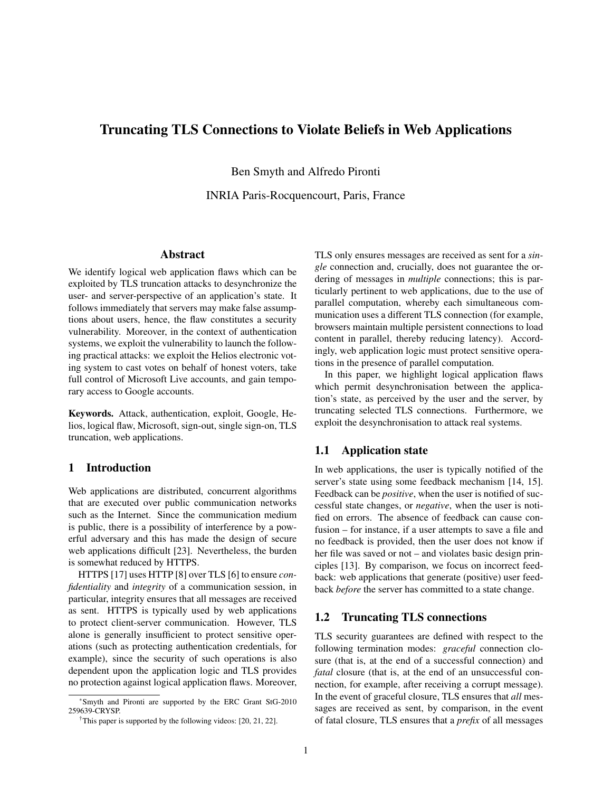# Truncating TLS Connections to Violate Beliefs in Web Applications

Ben Smyth and Alfredo Pironti

INRIA Paris-Rocquencourt, Paris, France

### Abstract

We identify logical web application flaws which can be exploited by TLS truncation attacks to desynchronize the user- and server-perspective of an application's state. It follows immediately that servers may make false assumptions about users, hence, the flaw constitutes a security vulnerability. Moreover, in the context of authentication systems, we exploit the vulnerability to launch the following practical attacks: we exploit the Helios electronic voting system to cast votes on behalf of honest voters, take full control of Microsoft Live accounts, and gain temporary access to Google accounts.

Keywords. Attack, authentication, exploit, Google, Helios, logical flaw, Microsoft, sign-out, single sign-on, TLS truncation, web applications.

# 1 Introduction

Web applications are distributed, concurrent algorithms that are executed over public communication networks such as the Internet. Since the communication medium is public, there is a possibility of interference by a powerful adversary and this has made the design of secure web applications difficult [23]. Nevertheless, the burden is somewhat reduced by HTTPS.

HTTPS [17] uses HTTP [8] over TLS [6] to ensure *confidentiality* and *integrity* of a communication session, in particular, integrity ensures that all messages are received as sent. HTTPS is typically used by web applications to protect client-server communication. However, TLS alone is generally insufficient to protect sensitive operations (such as protecting authentication credentials, for example), since the security of such operations is also dependent upon the application logic and TLS provides no protection against logical application flaws. Moreover, TLS only ensures messages are received as sent for a *single* connection and, crucially, does not guarantee the ordering of messages in *multiple* connections; this is particularly pertinent to web applications, due to the use of parallel computation, whereby each simultaneous communication uses a different TLS connection (for example, browsers maintain multiple persistent connections to load content in parallel, thereby reducing latency). Accordingly, web application logic must protect sensitive operations in the presence of parallel computation.

In this paper, we highlight logical application flaws which permit desynchronisation between the application's state, as perceived by the user and the server, by truncating selected TLS connections. Furthermore, we exploit the desynchronisation to attack real systems.

# 1.1 Application state

In web applications, the user is typically notified of the server's state using some feedback mechanism [14, 15]. Feedback can be *positive*, when the user is notified of successful state changes, or *negative*, when the user is notified on errors. The absence of feedback can cause confusion – for instance, if a user attempts to save a file and no feedback is provided, then the user does not know if her file was saved or not – and violates basic design principles [13]. By comparison, we focus on incorrect feedback: web applications that generate (positive) user feedback *before* the server has committed to a state change.

# 1.2 Truncating TLS connections

TLS security guarantees are defined with respect to the following termination modes: *graceful* connection closure (that is, at the end of a successful connection) and *fatal* closure (that is, at the end of an unsuccessful connection, for example, after receiving a corrupt message). In the event of graceful closure, TLS ensures that *all* messages are received as sent, by comparison, in the event of fatal closure, TLS ensures that a *prefix* of all messages

<sup>∗</sup>Smyth and Pironti are supported by the ERC Grant StG-2010 259639-CRYSP.

<sup>†</sup>This paper is supported by the following videos: [20, 21, 22].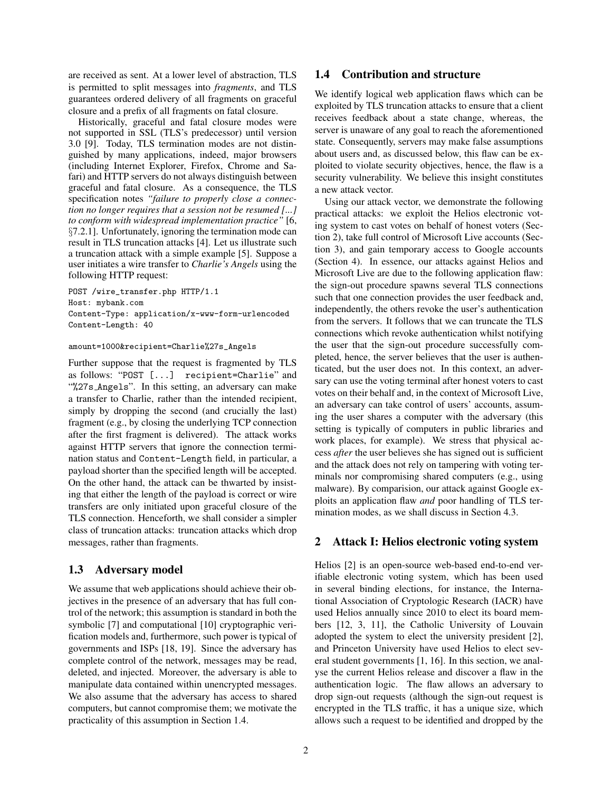are received as sent. At a lower level of abstraction, TLS is permitted to split messages into *fragments*, and TLS guarantees ordered delivery of all fragments on graceful closure and a prefix of all fragments on fatal closure.

Historically, graceful and fatal closure modes were not supported in SSL (TLS's predecessor) until version 3.0 [9]. Today, TLS termination modes are not distinguished by many applications, indeed, major browsers (including Internet Explorer, Firefox, Chrome and Safari) and HTTP servers do not always distinguish between graceful and fatal closure. As a consequence, the TLS specification notes *"failure to properly close a connection no longer requires that a session not be resumed [...] to conform with widespread implementation practice"* [6, §7.2.1]. Unfortunately, ignoring the termination mode can result in TLS truncation attacks [4]. Let us illustrate such a truncation attack with a simple example [5]. Suppose a user initiates a wire transfer to *Charlie's Angels* using the following HTTP request:

POST /wire\_transfer.php HTTP/1.1 Host: mybank.com Content-Type: application/x-www-form-urlencoded Content-Length: 40

#### amount=1000&recipient=Charlie%27s\_Angels

Further suppose that the request is fragmented by TLS as follows: "POST [...] recipient=Charlie" and "%27s Angels". In this setting, an adversary can make a transfer to Charlie, rather than the intended recipient, simply by dropping the second (and crucially the last) fragment (e.g., by closing the underlying TCP connection after the first fragment is delivered). The attack works against HTTP servers that ignore the connection termination status and Content-Length field, in particular, a payload shorter than the specified length will be accepted. On the other hand, the attack can be thwarted by insisting that either the length of the payload is correct or wire transfers are only initiated upon graceful closure of the TLS connection. Henceforth, we shall consider a simpler class of truncation attacks: truncation attacks which drop messages, rather than fragments.

#### 1.3 Adversary model

We assume that web applications should achieve their objectives in the presence of an adversary that has full control of the network; this assumption is standard in both the symbolic [7] and computational [10] cryptographic verification models and, furthermore, such power is typical of governments and ISPs [18, 19]. Since the adversary has complete control of the network, messages may be read, deleted, and injected. Moreover, the adversary is able to manipulate data contained within unencrypted messages. We also assume that the adversary has access to shared computers, but cannot compromise them; we motivate the practicality of this assumption in Section 1.4.

# 1.4 Contribution and structure

We identify logical web application flaws which can be exploited by TLS truncation attacks to ensure that a client receives feedback about a state change, whereas, the server is unaware of any goal to reach the aforementioned state. Consequently, servers may make false assumptions about users and, as discussed below, this flaw can be exploited to violate security objectives, hence, the flaw is a security vulnerability. We believe this insight constitutes a new attack vector.

Using our attack vector, we demonstrate the following practical attacks: we exploit the Helios electronic voting system to cast votes on behalf of honest voters (Section 2), take full control of Microsoft Live accounts (Section 3), and gain temporary access to Google accounts (Section 4). In essence, our attacks against Helios and Microsoft Live are due to the following application flaw: the sign-out procedure spawns several TLS connections such that one connection provides the user feedback and, independently, the others revoke the user's authentication from the servers. It follows that we can truncate the TLS connections which revoke authentication whilst notifying the user that the sign-out procedure successfully completed, hence, the server believes that the user is authenticated, but the user does not. In this context, an adversary can use the voting terminal after honest voters to cast votes on their behalf and, in the context of Microsoft Live, an adversary can take control of users' accounts, assuming the user shares a computer with the adversary (this setting is typically of computers in public libraries and work places, for example). We stress that physical access *after* the user believes she has signed out is sufficient and the attack does not rely on tampering with voting terminals nor compromising shared computers (e.g., using malware). By comparision, our attack against Google exploits an application flaw *and* poor handling of TLS termination modes, as we shall discuss in Section 4.3.

## 2 Attack I: Helios electronic voting system

Helios [2] is an open-source web-based end-to-end verifiable electronic voting system, which has been used in several binding elections, for instance, the International Association of Cryptologic Research (IACR) have used Helios annually since 2010 to elect its board members [12, 3, 11], the Catholic University of Louvain adopted the system to elect the university president [2], and Princeton University have used Helios to elect several student governments [1, 16]. In this section, we analyse the current Helios release and discover a flaw in the authentication logic. The flaw allows an adversary to drop sign-out requests (although the sign-out request is encrypted in the TLS traffic, it has a unique size, which allows such a request to be identified and dropped by the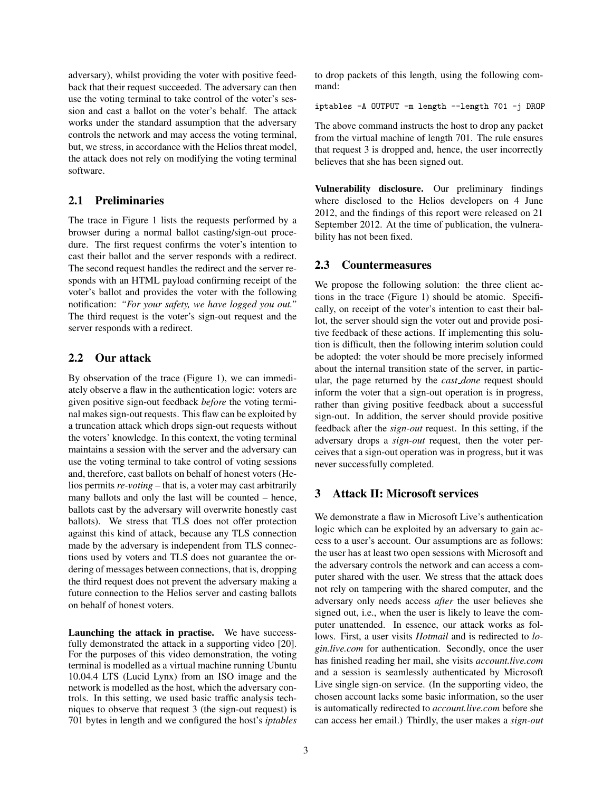adversary), whilst providing the voter with positive feedback that their request succeeded. The adversary can then use the voting terminal to take control of the voter's session and cast a ballot on the voter's behalf. The attack works under the standard assumption that the adversary controls the network and may access the voting terminal, but, we stress, in accordance with the Helios threat model, the attack does not rely on modifying the voting terminal software.

# 2.1 Preliminaries

The trace in Figure 1 lists the requests performed by a browser during a normal ballot casting/sign-out procedure. The first request confirms the voter's intention to cast their ballot and the server responds with a redirect. The second request handles the redirect and the server responds with an HTML payload confirming receipt of the voter's ballot and provides the voter with the following notification: *"For your safety, we have logged you out."* The third request is the voter's sign-out request and the server responds with a redirect.

# 2.2 Our attack

By observation of the trace (Figure 1), we can immediately observe a flaw in the authentication logic: voters are given positive sign-out feedback *before* the voting terminal makes sign-out requests. This flaw can be exploited by a truncation attack which drops sign-out requests without the voters' knowledge. In this context, the voting terminal maintains a session with the server and the adversary can use the voting terminal to take control of voting sessions and, therefore, cast ballots on behalf of honest voters (Helios permits *re-voting* – that is, a voter may cast arbitrarily many ballots and only the last will be counted – hence, ballots cast by the adversary will overwrite honestly cast ballots). We stress that TLS does not offer protection against this kind of attack, because any TLS connection made by the adversary is independent from TLS connections used by voters and TLS does not guarantee the ordering of messages between connections, that is, dropping the third request does not prevent the adversary making a future connection to the Helios server and casting ballots on behalf of honest voters.

Launching the attack in practise. We have successfully demonstrated the attack in a supporting video [20]. For the purposes of this video demonstration, the voting terminal is modelled as a virtual machine running Ubuntu 10.04.4 LTS (Lucid Lynx) from an ISO image and the network is modelled as the host, which the adversary controls. In this setting, we used basic traffic analysis techniques to observe that request 3 (the sign-out request) is 701 bytes in length and we configured the host's *iptables* to drop packets of this length, using the following command:

iptables -A OUTPUT -m length --length 701 -j DROP

The above command instructs the host to drop any packet from the virtual machine of length 701. The rule ensures that request 3 is dropped and, hence, the user incorrectly believes that she has been signed out.

Vulnerability disclosure. Our preliminary findings where disclosed to the Helios developers on 4 June 2012, and the findings of this report were released on 21 September 2012. At the time of publication, the vulnerability has not been fixed.

# 2.3 Countermeasures

We propose the following solution: the three client actions in the trace (Figure 1) should be atomic. Specifically, on receipt of the voter's intention to cast their ballot, the server should sign the voter out and provide positive feedback of these actions. If implementing this solution is difficult, then the following interim solution could be adopted: the voter should be more precisely informed about the internal transition state of the server, in particular, the page returned by the *cast done* request should inform the voter that a sign-out operation is in progress, rather than giving positive feedback about a successful sign-out. In addition, the server should provide positive feedback after the *sign-out* request. In this setting, if the adversary drops a *sign-out* request, then the voter perceives that a sign-out operation was in progress, but it was never successfully completed.

# 3 Attack II: Microsoft services

We demonstrate a flaw in Microsoft Live's authentication logic which can be exploited by an adversary to gain access to a user's account. Our assumptions are as follows: the user has at least two open sessions with Microsoft and the adversary controls the network and can access a computer shared with the user. We stress that the attack does not rely on tampering with the shared computer, and the adversary only needs access *after* the user believes she signed out, i.e., when the user is likely to leave the computer unattended. In essence, our attack works as follows. First, a user visits *Hotmail* and is redirected to *login.live.com* for authentication. Secondly, once the user has finished reading her mail, she visits *account.live.com* and a session is seamlessly authenticated by Microsoft Live single sign-on service. (In the supporting video, the chosen account lacks some basic information, so the user is automatically redirected to *account.live.com* before she can access her email.) Thirdly, the user makes a *sign-out*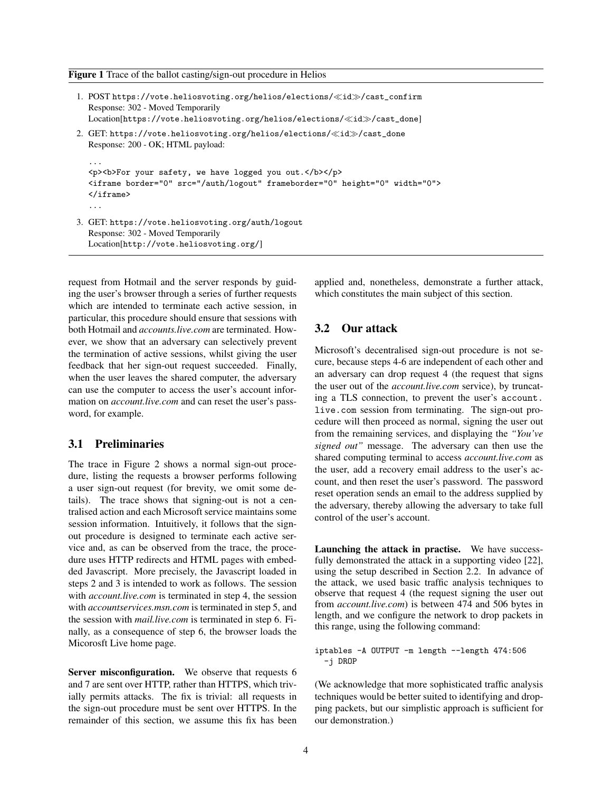#### Figure 1 Trace of the ballot casting/sign-out procedure in Helios

| 1. POST https://vote.heliosvoting.org/helios/elections/ < id >/cast_confirm<br>Response: 302 - Moved Temporarily<br>$Location[https://vote.heliosvoting.org/helios/elections/\llid\gg/cast\_done]$ |
|----------------------------------------------------------------------------------------------------------------------------------------------------------------------------------------------------|
| 2. GET: https://vote.heliosvoting.org/helios/elections/ $\ll$ id $\gg$ /cast_done<br>Response: 200 - OK; HTML payload:                                                                             |
| .<br><p><b>For your safety, we have logged you out.</b></p><br><iframe border="0" frameborder="0" height="0" src="/auth/logout" width="0"><br/><math>\langle</math>iframe&gt;</iframe>             |
| $\cdots$                                                                                                                                                                                           |
| 3. GET: https://vote.heliosvoting.org/auth/logout<br>Response: 302 - Moved Temporarily<br>[/Location[http://vote.heliosvoting.org]                                                                 |

request from Hotmail and the server responds by guiding the user's browser through a series of further requests which are intended to terminate each active session, in particular, this procedure should ensure that sessions with both Hotmail and *accounts.live.com* are terminated. However, we show that an adversary can selectively prevent the termination of active sessions, whilst giving the user feedback that her sign-out request succeeded. Finally, when the user leaves the shared computer, the adversary can use the computer to access the user's account information on *account.live.com* and can reset the user's password, for example.

#### 3.1 Preliminaries

The trace in Figure 2 shows a normal sign-out procedure, listing the requests a browser performs following a user sign-out request (for brevity, we omit some details). The trace shows that signing-out is not a centralised action and each Microsoft service maintains some session information. Intuitively, it follows that the signout procedure is designed to terminate each active service and, as can be observed from the trace, the procedure uses HTTP redirects and HTML pages with embedded Javascript. More precisely, the Javascript loaded in steps 2 and 3 is intended to work as follows. The session with *account.live.com* is terminated in step 4, the session with *accountservices.msn.com* is terminated in step 5, and the session with *mail.live.com* is terminated in step 6. Finally, as a consequence of step 6, the browser loads the Micorosft Live home page.

Server misconfiguration. We observe that requests 6 and 7 are sent over HTTP, rather than HTTPS, which trivially permits attacks. The fix is trivial: all requests in the sign-out procedure must be sent over HTTPS. In the remainder of this section, we assume this fix has been applied and, nonetheless, demonstrate a further attack, which constitutes the main subject of this section.

## 3.2 Our attack

Microsoft's decentralised sign-out procedure is not secure, because steps 4-6 are independent of each other and an adversary can drop request 4 (the request that signs the user out of the *account.live.com* service), by truncating a TLS connection, to prevent the user's account. live.com session from terminating. The sign-out procedure will then proceed as normal, signing the user out from the remaining services, and displaying the *"You've signed out"* message. The adversary can then use the shared computing terminal to access *account.live.com* as the user, add a recovery email address to the user's account, and then reset the user's password. The password reset operation sends an email to the address supplied by the adversary, thereby allowing the adversary to take full control of the user's account.

Launching the attack in practise. We have successfully demonstrated the attack in a supporting video [22], using the setup described in Section 2.2. In advance of the attack, we used basic traffic analysis techniques to observe that request 4 (the request signing the user out from *account.live.com*) is between 474 and 506 bytes in length, and we configure the network to drop packets in this range, using the following command:

```
iptables -A OUTPUT -m length --length 474:506
  -j DROP
```
(We acknowledge that more sophisticated traffic analysis techniques would be better suited to identifying and dropping packets, but our simplistic approach is sufficient for our demonstration.)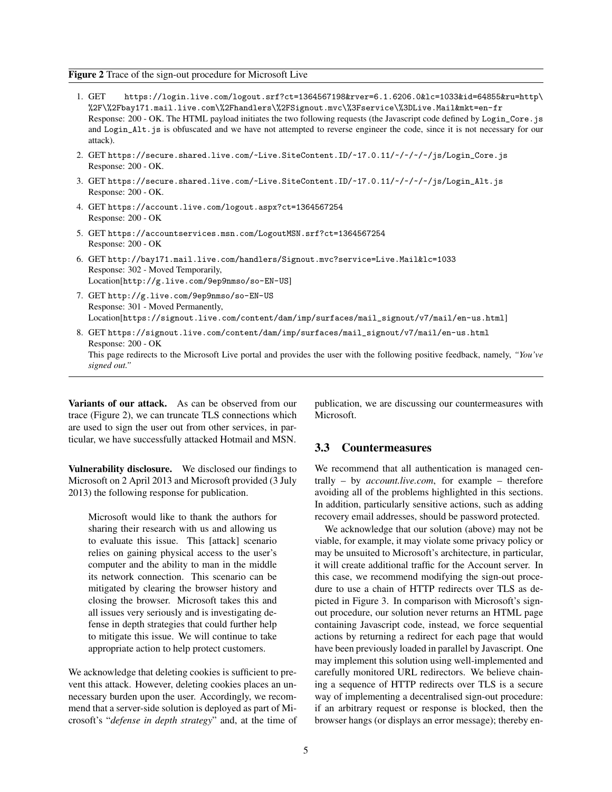### Figure 2 Trace of the sign-out procedure for Microsoft Live

- 1. GET https://login.live.com/logout.srf?ct=1364567198&rver=6.1.6206.0&lc=1033&id=64855&ru=http\ %2F\%2Fbay171.mail.live.com\%2Fhandlers\%2FSignout.mvc\%3Fservice\%3DLive.Mail&mkt=en-fr Response: 200 - OK. The HTML payload initiates the two following requests (the Javascript code defined by Login\_Core.js and Login\_Alt.js is obfuscated and we have not attempted to reverse engineer the code, since it is not necessary for our attack).
- 2. GET https://secure.shared.live.com/~Live.SiteContent.ID/~17.0.11/~/~/~/~/js/Login\_Core.js Response: 200 - OK.
- 3. GET https://secure.shared.live.com/~Live.SiteContent.ID/~17.0.11/~/~/~/~/js/Login\_Alt.js Response: 200 - OK.
- 4. GET https://account.live.com/logout.aspx?ct=1364567254 Response: 200 - OK
- 5. GET https://accountservices.msn.com/LogoutMSN.srf?ct=1364567254 Response: 200 - OK
- 6. GET http://bay171.mail.live.com/handlers/Signout.mvc?service=Live.Mail&lc=1033 Response: 302 - Moved Temporarily, Location[http://g.live.com/9ep9nmso/so-EN-US]
- 7. GET http://g.live.com/9ep9nmso/so-EN-US Response: 301 - Moved Permanently, Location[https://signout.live.com/content/dam/imp/surfaces/mail\_signout/v7/mail/en-us.html]
- 8. GET https://signout.live.com/content/dam/imp/surfaces/mail\_signout/v7/mail/en-us.html Response: 200 - OK This page redirects to the Microsoft Live portal and provides the user with the following positive feedback, namely, *"You've signed out."*

Variants of our attack. As can be observed from our trace (Figure 2), we can truncate TLS connections which are used to sign the user out from other services, in particular, we have successfully attacked Hotmail and MSN.

Vulnerability disclosure. We disclosed our findings to Microsoft on 2 April 2013 and Microsoft provided (3 July 2013) the following response for publication.

Microsoft would like to thank the authors for sharing their research with us and allowing us to evaluate this issue. This [attack] scenario relies on gaining physical access to the user's computer and the ability to man in the middle its network connection. This scenario can be mitigated by clearing the browser history and closing the browser. Microsoft takes this and all issues very seriously and is investigating defense in depth strategies that could further help to mitigate this issue. We will continue to take appropriate action to help protect customers.

We acknowledge that deleting cookies is sufficient to prevent this attack. However, deleting cookies places an unnecessary burden upon the user. Accordingly, we recommend that a server-side solution is deployed as part of Microsoft's "*defense in depth strategy*" and, at the time of publication, we are discussing our countermeasures with Microsoft.

#### 3.3 Countermeasures

We recommend that all authentication is managed centrally – by *account.live.com*, for example – therefore avoiding all of the problems highlighted in this sections. In addition, particularly sensitive actions, such as adding recovery email addresses, should be password protected.

We acknowledge that our solution (above) may not be viable, for example, it may violate some privacy policy or may be unsuited to Microsoft's architecture, in particular, it will create additional traffic for the Account server. In this case, we recommend modifying the sign-out procedure to use a chain of HTTP redirects over TLS as depicted in Figure 3. In comparison with Microsoft's signout procedure, our solution never returns an HTML page containing Javascript code, instead, we force sequential actions by returning a redirect for each page that would have been previously loaded in parallel by Javascript. One may implement this solution using well-implemented and carefully monitored URL redirectors. We believe chaining a sequence of HTTP redirects over TLS is a secure way of implementing a decentralised sign-out procedure: if an arbitrary request or response is blocked, then the browser hangs (or displays an error message); thereby en-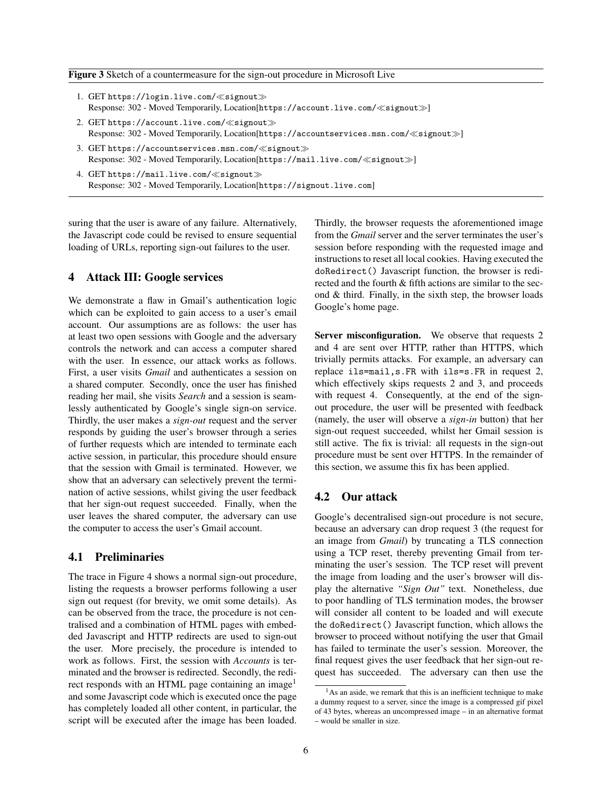#### Figure 3 Sketch of a countermeasure for the sign-out procedure in Microsoft Live

- 1. GET https://login.live.com/«signout» Response: 302 - Moved Temporarily, Location[https://account.live.com/ signout  $\gg$ ]
- 2. GET https://account.live.com/ $\ll$ signout $\gg$ Response: 302 - Moved Temporarily, Location[https://accountservices.msn.com/ $\ll$ signout $\gg$ ]
- 3. GET https://accountservices.msn.com/ $\ll$ signout $\gg$ Response: 302 - Moved Temporarily, Location[https://mail.live.com/«signout»]
- 4. GET https://mail.live.com/ $\ll$ signout $\gg$ Response: 302 - Moved Temporarily, Location[https://signout.live.com]

suring that the user is aware of any failure. Alternatively, the Javascript code could be revised to ensure sequential loading of URLs, reporting sign-out failures to the user.

# 4 Attack III: Google services

We demonstrate a flaw in Gmail's authentication logic which can be exploited to gain access to a user's email account. Our assumptions are as follows: the user has at least two open sessions with Google and the adversary controls the network and can access a computer shared with the user. In essence, our attack works as follows. First, a user visits *Gmail* and authenticates a session on a shared computer. Secondly, once the user has finished reading her mail, she visits *Search* and a session is seamlessly authenticated by Google's single sign-on service. Thirdly, the user makes a *sign-out* request and the server responds by guiding the user's browser through a series of further requests which are intended to terminate each active session, in particular, this procedure should ensure that the session with Gmail is terminated. However, we show that an adversary can selectively prevent the termination of active sessions, whilst giving the user feedback that her sign-out request succeeded. Finally, when the user leaves the shared computer, the adversary can use the computer to access the user's Gmail account.

## 4.1 Preliminaries

The trace in Figure 4 shows a normal sign-out procedure, listing the requests a browser performs following a user sign out request (for brevity, we omit some details). As can be observed from the trace, the procedure is not centralised and a combination of HTML pages with embedded Javascript and HTTP redirects are used to sign-out the user. More precisely, the procedure is intended to work as follows. First, the session with *Accounts* is terminated and the browser is redirected. Secondly, the redirect responds with an HTML page containing an image<sup>1</sup> and some Javascript code which is executed once the page has completely loaded all other content, in particular, the script will be executed after the image has been loaded. Thirdly, the browser requests the aforementioned image from the *Gmail* server and the server terminates the user's session before responding with the requested image and instructions to reset all local cookies. Having executed the doRedirect() Javascript function, the browser is redirected and the fourth & fifth actions are similar to the second & third. Finally, in the sixth step, the browser loads Google's home page.

Server misconfiguration. We observe that requests 2 and 4 are sent over HTTP, rather than HTTPS, which trivially permits attacks. For example, an adversary can replace ils=mail,s.FR with ils=s.FR in request 2, which effectively skips requests 2 and 3, and proceeds with request 4. Consequently, at the end of the signout procedure, the user will be presented with feedback (namely, the user will observe a *sign-in* button) that her sign-out request succeeded, whilst her Gmail session is still active. The fix is trivial: all requests in the sign-out procedure must be sent over HTTPS. In the remainder of this section, we assume this fix has been applied.

#### 4.2 Our attack

Google's decentralised sign-out procedure is not secure, because an adversary can drop request 3 (the request for an image from *Gmail*) by truncating a TLS connection using a TCP reset, thereby preventing Gmail from terminating the user's session. The TCP reset will prevent the image from loading and the user's browser will display the alternative *"Sign Out"* text. Nonetheless, due to poor handling of TLS termination modes, the browser will consider all content to be loaded and will execute the doRedirect() Javascript function, which allows the browser to proceed without notifying the user that Gmail has failed to terminate the user's session. Moreover, the final request gives the user feedback that her sign-out request has succeeded. The adversary can then use the

 $<sup>1</sup>$ As an aside, we remark that this is an inefficient technique to make</sup> a dummy request to a server, since the image is a compressed gif pixel of 43 bytes, whereas an uncompressed image – in an alternative format – would be smaller in size.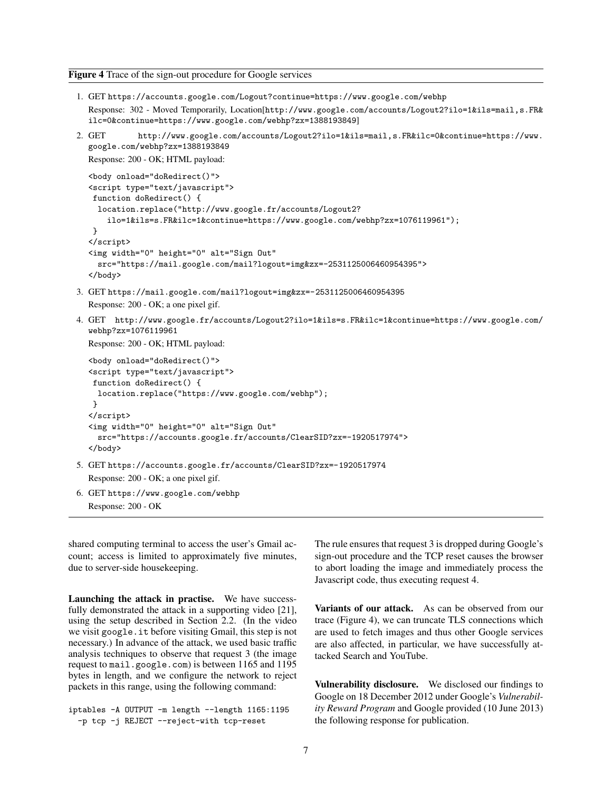Figure 4 Trace of the sign-out procedure for Google services

- 1. GET https://accounts.google.com/Logout?continue=https://www.google.com/webhp Response: 302 - Moved Temporarily, Location[http://www.google.com/accounts/Logout2?ilo=1&ils=mail,s.FR& ilc=0&continue=https://www.google.com/webhp?zx=1388193849]
- 2. GET http://www.google.com/accounts/Logout2?ilo=1&ils=mail,s.FR&ilc=0&continue=https://www. google.com/webhp?zx=1388193849

Response: 200 - OK; HTML payload:

```
<body onload="doRedirect()">
<script type="text/javascript">
function doRedirect() {
 location.replace("http://www.google.fr/accounts/Logout2?
    ilo=1&ils=s.FR&ilc=1&continue=https://www.google.com/webhp?zx=1076119961");
}
</script>
<img width="0" height="0" alt="Sign Out"
  src="https://mail.google.com/mail?logout=img&zx=-2531125006460954395">
```

```
</body>
```
- 3. GET https://mail.google.com/mail?logout=img&zx=-2531125006460954395 Response: 200 - OK; a one pixel gif.
- 4. GET http://www.google.fr/accounts/Logout2?ilo=1&ils=s.FR&ilc=1&continue=https://www.google.com/ webhp?zx=1076119961

Response: 200 - OK; HTML payload:

```
<body onload="doRedirect()">
  <script type="text/javascript">
   function doRedirect() {
    location.replace("https://www.google.com/webhp");
   }
  </script>
  <img width="0" height="0" alt="Sign Out"
    src="https://accounts.google.fr/accounts/ClearSID?zx=-1920517974">
  </body>
5. GET https://accounts.google.fr/accounts/ClearSID?zx=-1920517974
  Response: 200 - OK; a one pixel gif.
6. GET https://www.google.com/webhp
```

```
Response: 200 - OK
```
shared computing terminal to access the user's Gmail account; access is limited to approximately five minutes, due to server-side housekeeping.

Launching the attack in practise. We have successfully demonstrated the attack in a supporting video [21], using the setup described in Section 2.2. (In the video we visit google.it before visiting Gmail, this step is not necessary.) In advance of the attack, we used basic traffic analysis techniques to observe that request 3 (the image request to mail.google.com) is between 1165 and 1195 bytes in length, and we configure the network to reject packets in this range, using the following command:

iptables -A OUTPUT -m length --length 1165:1195 -p tcp -j REJECT --reject-with tcp-reset

The rule ensures that request 3 is dropped during Google's sign-out procedure and the TCP reset causes the browser to abort loading the image and immediately process the Javascript code, thus executing request 4.

Variants of our attack. As can be observed from our trace (Figure 4), we can truncate TLS connections which are used to fetch images and thus other Google services are also affected, in particular, we have successfully attacked Search and YouTube.

Vulnerability disclosure. We disclosed our findings to Google on 18 December 2012 under Google's *Vulnerability Reward Program* and Google provided (10 June 2013) the following response for publication.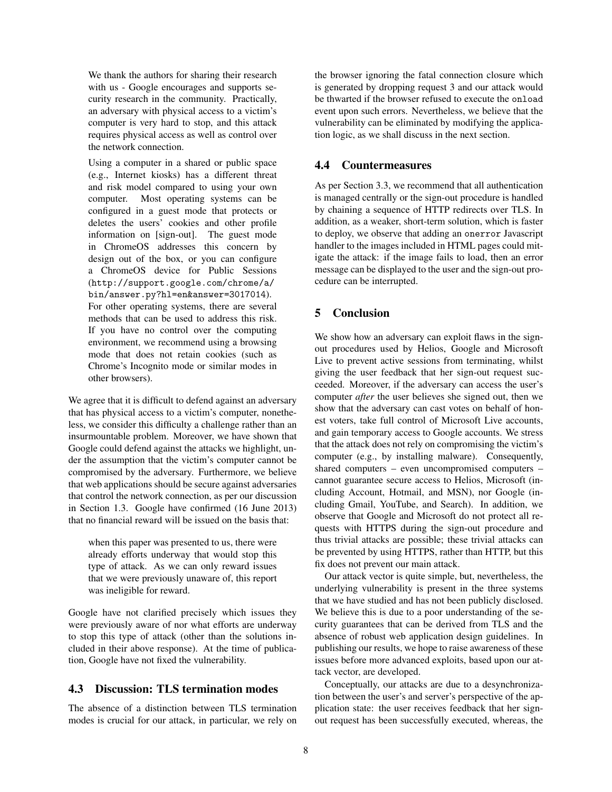We thank the authors for sharing their research with us - Google encourages and supports security research in the community. Practically, an adversary with physical access to a victim's computer is very hard to stop, and this attack requires physical access as well as control over the network connection.

Using a computer in a shared or public space (e.g., Internet kiosks) has a different threat and risk model compared to using your own computer. Most operating systems can be configured in a guest mode that protects or deletes the users' cookies and other profile information on [sign-out]. The guest mode in ChromeOS addresses this concern by design out of the box, or you can configure a ChromeOS device for Public Sessions (http://support.google.com/chrome/a/ bin/answer.py?hl=en&answer=3017014). For other operating systems, there are several methods that can be used to address this risk. If you have no control over the computing environment, we recommend using a browsing mode that does not retain cookies (such as Chrome's Incognito mode or similar modes in other browsers).

We agree that it is difficult to defend against an adversary that has physical access to a victim's computer, nonetheless, we consider this difficulty a challenge rather than an insurmountable problem. Moreover, we have shown that Google could defend against the attacks we highlight, under the assumption that the victim's computer cannot be compromised by the adversary. Furthermore, we believe that web applications should be secure against adversaries that control the network connection, as per our discussion in Section 1.3. Google have confirmed (16 June 2013) that no financial reward will be issued on the basis that:

when this paper was presented to us, there were already efforts underway that would stop this type of attack. As we can only reward issues that we were previously unaware of, this report was ineligible for reward.

Google have not clarified precisely which issues they were previously aware of nor what efforts are underway to stop this type of attack (other than the solutions included in their above response). At the time of publication, Google have not fixed the vulnerability.

# 4.3 Discussion: TLS termination modes

The absence of a distinction between TLS termination modes is crucial for our attack, in particular, we rely on the browser ignoring the fatal connection closure which is generated by dropping request 3 and our attack would be thwarted if the browser refused to execute the onload event upon such errors. Nevertheless, we believe that the vulnerability can be eliminated by modifying the application logic, as we shall discuss in the next section.

# 4.4 Countermeasures

As per Section 3.3, we recommend that all authentication is managed centrally or the sign-out procedure is handled by chaining a sequence of HTTP redirects over TLS. In addition, as a weaker, short-term solution, which is faster to deploy, we observe that adding an onerror Javascript handler to the images included in HTML pages could mitigate the attack: if the image fails to load, then an error message can be displayed to the user and the sign-out procedure can be interrupted.

# 5 Conclusion

We show how an adversary can exploit flaws in the signout procedures used by Helios, Google and Microsoft Live to prevent active sessions from terminating, whilst giving the user feedback that her sign-out request succeeded. Moreover, if the adversary can access the user's computer *after* the user believes she signed out, then we show that the adversary can cast votes on behalf of honest voters, take full control of Microsoft Live accounts, and gain temporary access to Google accounts. We stress that the attack does not rely on compromising the victim's computer (e.g., by installing malware). Consequently, shared computers – even uncompromised computers – cannot guarantee secure access to Helios, Microsoft (including Account, Hotmail, and MSN), nor Google (including Gmail, YouTube, and Search). In addition, we observe that Google and Microsoft do not protect all requests with HTTPS during the sign-out procedure and thus trivial attacks are possible; these trivial attacks can be prevented by using HTTPS, rather than HTTP, but this fix does not prevent our main attack.

Our attack vector is quite simple, but, nevertheless, the underlying vulnerability is present in the three systems that we have studied and has not been publicly disclosed. We believe this is due to a poor understanding of the security guarantees that can be derived from TLS and the absence of robust web application design guidelines. In publishing our results, we hope to raise awareness of these issues before more advanced exploits, based upon our attack vector, are developed.

Conceptually, our attacks are due to a desynchronization between the user's and server's perspective of the application state: the user receives feedback that her signout request has been successfully executed, whereas, the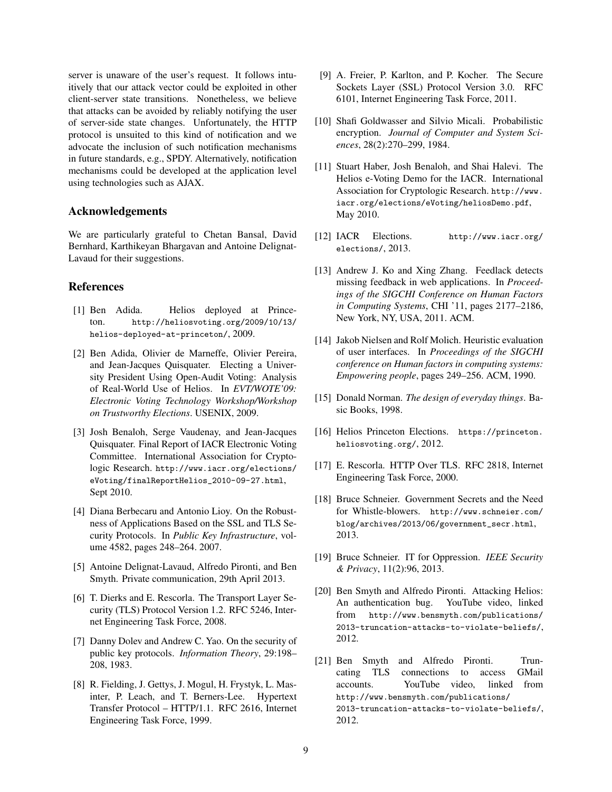server is unaware of the user's request. It follows intuitively that our attack vector could be exploited in other client-server state transitions. Nonetheless, we believe that attacks can be avoided by reliably notifying the user of server-side state changes. Unfortunately, the HTTP protocol is unsuited to this kind of notification and we advocate the inclusion of such notification mechanisms in future standards, e.g., SPDY. Alternatively, notification mechanisms could be developed at the application level using technologies such as AJAX.

### Acknowledgements

We are particularly grateful to Chetan Bansal, David Bernhard, Karthikeyan Bhargavan and Antoine Delignat-Lavaud for their suggestions.

### References

- [1] Ben Adida. Helios deployed at Princeton. http://heliosvoting.org/2009/10/13/ helios-deployed-at-princeton/, 2009.
- [2] Ben Adida, Olivier de Marneffe, Olivier Pereira, and Jean-Jacques Quisquater. Electing a University President Using Open-Audit Voting: Analysis of Real-World Use of Helios. In *EVT/WOTE'09: Electronic Voting Technology Workshop/Workshop on Trustworthy Elections*. USENIX, 2009.
- [3] Josh Benaloh, Serge Vaudenay, and Jean-Jacques Quisquater. Final Report of IACR Electronic Voting Committee. International Association for Cryptologic Research. http://www.iacr.org/elections/ eVoting/finalReportHelios\_2010-09-27.html, Sept 2010.
- [4] Diana Berbecaru and Antonio Lioy. On the Robustness of Applications Based on the SSL and TLS Security Protocols. In *Public Key Infrastructure*, volume 4582, pages 248–264. 2007.
- [5] Antoine Delignat-Lavaud, Alfredo Pironti, and Ben Smyth. Private communication, 29th April 2013.
- [6] T. Dierks and E. Rescorla. The Transport Layer Security (TLS) Protocol Version 1.2. RFC 5246, Internet Engineering Task Force, 2008.
- [7] Danny Dolev and Andrew C. Yao. On the security of public key protocols. *Information Theory*, 29:198– 208, 1983.
- [8] R. Fielding, J. Gettys, J. Mogul, H. Frystyk, L. Masinter, P. Leach, and T. Berners-Lee. Hypertext Transfer Protocol – HTTP/1.1. RFC 2616, Internet Engineering Task Force, 1999.
- [9] A. Freier, P. Karlton, and P. Kocher. The Secure Sockets Layer (SSL) Protocol Version 3.0. RFC 6101, Internet Engineering Task Force, 2011.
- [10] Shafi Goldwasser and Silvio Micali. Probabilistic encryption. *Journal of Computer and System Sciences*, 28(2):270–299, 1984.
- [11] Stuart Haber, Josh Benaloh, and Shai Halevi. The Helios e-Voting Demo for the IACR. International Association for Cryptologic Research. http://www. iacr.org/elections/eVoting/heliosDemo.pdf, May 2010.
- [12] IACR Elections. http://www.iacr.org/ elections/, 2013.
- [13] Andrew J. Ko and Xing Zhang. Feedlack detects missing feedback in web applications. In *Proceedings of the SIGCHI Conference on Human Factors in Computing Systems*, CHI '11, pages 2177–2186, New York, NY, USA, 2011. ACM.
- [14] Jakob Nielsen and Rolf Molich. Heuristic evaluation of user interfaces. In *Proceedings of the SIGCHI conference on Human factors in computing systems: Empowering people*, pages 249–256. ACM, 1990.
- [15] Donald Norman. *The design of everyday things*. Basic Books, 1998.
- [16] Helios Princeton Elections. https://princeton. heliosvoting.org/, 2012.
- [17] E. Rescorla. HTTP Over TLS. RFC 2818, Internet Engineering Task Force, 2000.
- [18] Bruce Schneier. Government Secrets and the Need for Whistle-blowers. http://www.schneier.com/ blog/archives/2013/06/government\_secr.html, 2013.
- [19] Bruce Schneier. IT for Oppression. *IEEE Security & Privacy*, 11(2):96, 2013.
- [20] Ben Smyth and Alfredo Pironti. Attacking Helios: An authentication bug. YouTube video, linked from http://www.bensmyth.com/publications/ 2013-truncation-attacks-to-violate-beliefs/, 2012.
- [21] Ben Smyth and Alfredo Pironti. Truncating TLS connections to access GMail accounts. YouTube video, linked from http://www.bensmyth.com/publications/ 2013-truncation-attacks-to-violate-beliefs/, 2012.